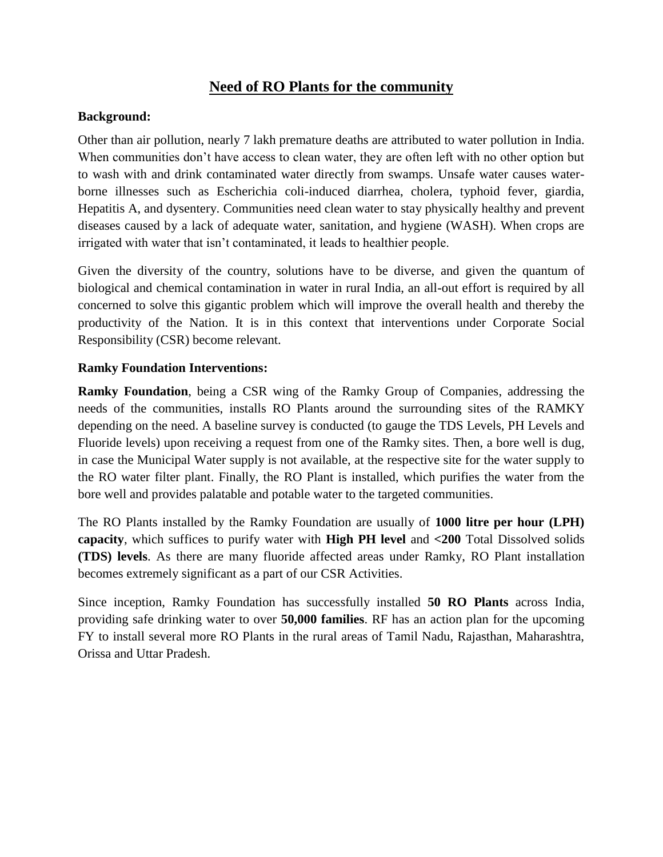## **Need of RO Plants for the community**

## **Background:**

Other than air pollution, nearly 7 lakh premature deaths are attributed to water pollution in India. When communities don't have access to clean water, they are often left with no other option but to wash with and drink contaminated water directly from swamps. Unsafe water causes waterborne illnesses such as Escherichia coli-induced diarrhea, cholera, typhoid fever, giardia, Hepatitis A, and dysentery. Communities need clean water to stay physically healthy and prevent diseases caused by a lack of adequate water, sanitation, and hygiene (WASH). When crops are irrigated with water that isn't contaminated, it leads to healthier people.

Given the diversity of the country, solutions have to be diverse, and given the quantum of biological and chemical contamination in water in rural India, an all-out effort is required by all concerned to solve this gigantic problem which will improve the overall health and thereby the productivity of the Nation. It is in this context that interventions under Corporate Social Responsibility (CSR) become relevant.

## **Ramky Foundation Interventions:**

**Ramky Foundation**, being a CSR wing of the Ramky Group of Companies, addressing the needs of the communities, installs RO Plants around the surrounding sites of the RAMKY depending on the need. A baseline survey is conducted (to gauge the TDS Levels, PH Levels and Fluoride levels) upon receiving a request from one of the Ramky sites. Then, a bore well is dug, in case the Municipal Water supply is not available, at the respective site for the water supply to the RO water filter plant. Finally, the RO Plant is installed, which purifies the water from the bore well and provides palatable and potable water to the targeted communities.

The RO Plants installed by the Ramky Foundation are usually of **1000 litre per hour (LPH) capacity**, which suffices to purify water with **High PH level** and **<200** Total Dissolved solids **(TDS) levels**. As there are many fluoride affected areas under Ramky, RO Plant installation becomes extremely significant as a part of our CSR Activities.

Since inception, Ramky Foundation has successfully installed **50 RO Plants** across India, providing safe drinking water to over **50,000 families**. RF has an action plan for the upcoming FY to install several more RO Plants in the rural areas of Tamil Nadu, Rajasthan, Maharashtra, Orissa and Uttar Pradesh.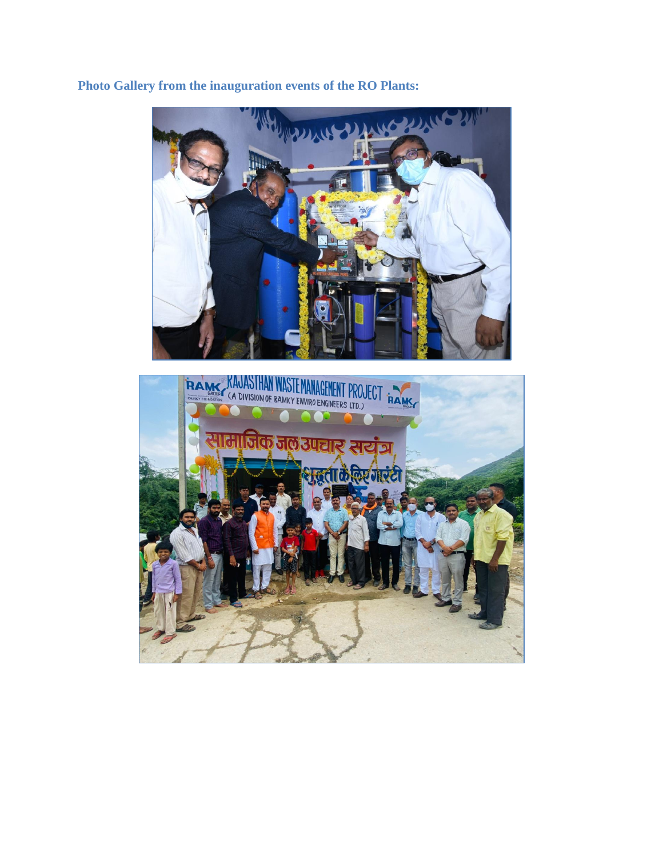**Photo Gallery from the inauguration events of the RO Plants:**

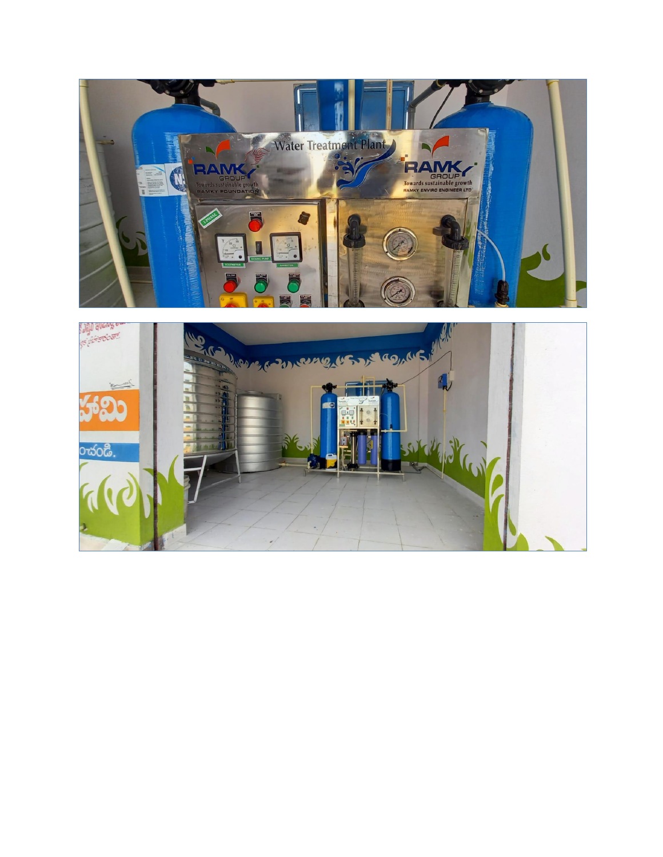